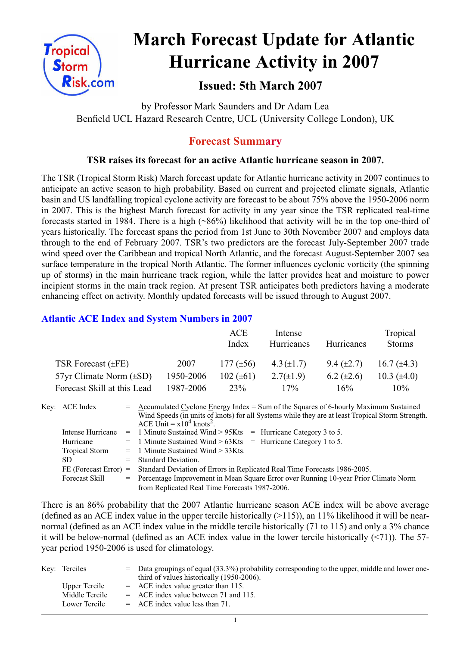

# **March Forecast Update for Atlantic Hurricane Activity in 2007**

# **Issued: 5th March 2007**

by Professor Mark Saunders and Dr Adam Lea Benfield UCL Hazard Research Centre, UCL (University College London), UK

# **Forecast Summary**

## **TSR raises its forecast for an active Atlantic hurricane season in 2007.**

The TSR (Tropical Storm Risk) March forecast update for Atlantic hurricane activity in 2007 continues to anticipate an active season to high probability. Based on current and projected climate signals, Atlantic basin and US landfalling tropical cyclone activity are forecast to be about 75% above the 1950-2006 norm in 2007. This is the highest March forecast for activity in any year since the TSR replicated real-time forecasts started in 1984. There is a high (~86%) likelihood that activity will be in the top one-third of years historically. The forecast spans the period from 1st June to 30th November 2007 and employs data through to the end of February 2007. TSR's two predictors are the forecast July-September 2007 trade wind speed over the Caribbean and tropical North Atlantic, and the forecast August-September 2007 sea surface temperature in the tropical North Atlantic. The former influences cyclonic vorticity (the spinning up of storms) in the main hurricane track region, while the latter provides heat and moisture to power incipient storms in the main track region. At present TSR anticipates both predictors having a moderate enhancing effect on activity. Monthly updated forecasts will be issued through to August 2007.

## **Atlantic ACE Index and System Numbers in 2007**

|                                |           | ACE<br>Index   | Intense<br>Hurricanes | Hurricanes        | Tropical<br><b>Storms</b> |
|--------------------------------|-----------|----------------|-----------------------|-------------------|---------------------------|
| TSR Forecast $(\pm FE)$        | 2007      | 177 $(\pm 56)$ | $4.3(\pm 1.7)$        | $9.4 \ (\pm 2.7)$ | 16.7 $(\pm 4.3)$          |
| $57yr$ Climate Norm $(\pm SD)$ | 1950-2006 | 102 $(\pm 61)$ | $2.7(\pm 1.9)$        | 6.2 $(\pm 2.6)$   | 10.3 $(\pm 4.0)$          |
| Forecast Skill at this Lead    | 1987-2006 | 23%            | 17%                   | 16%               | $10\%$                    |

Key: ACE Index = Accumulated Cyclone Energy Index = Sum of the Squares of 6-hourly Maximum Sustained Wind Speeds (in units of knots) for all Systems while they are at least Tropical Storm Strength. ACE Unit =  $x10^4$  knots<sup>2</sup>. Intense Hurricane = 1 Minute Sustained Wind > 95Kts = Hurricane Category 3 to 5. Hurricane  $= 1$  Minute Sustained Wind  $> 63K$ ts  $=$  Hurricane Category 1 to 5. Tropical Storm = 1 Minute Sustained Wind > 33Kts. SD = Standard Deviation. FE (Forecast Error) = Standard Deviation of Errors in Replicated Real Time Forecasts 1986-2005. Forecast Skill = Percentage Improvement in Mean Square Error over Running 10-year Prior Climate Norm from Replicated Real Time Forecasts 1987-2006.

There is an 86% probability that the 2007 Atlantic hurricane season ACE index will be above average (defined as an ACE index value in the upper tercile historically  $(>115)$ ), an 11% likelihood it will be nearnormal (defined as an ACE index value in the middle tercile historically (71 to 115) and only a 3% chance it will be below-normal (defined as an ACE index value in the lower tercile historically (<71)). The 57 year period 1950-2006 is used for climatology.

| Key: Terciles  | $=$ Data groupings of equal (33.3%) probability corresponding to the upper, middle and lower one-<br>third of values historically (1950-2006). |
|----------------|------------------------------------------------------------------------------------------------------------------------------------------------|
| Upper Tercile  | $=$ ACE index value greater than 115.                                                                                                          |
| Middle Tercile | $=$ ACE index value between 71 and 115.                                                                                                        |
| Lower Tercile  | $=$ ACE index value less than 71.                                                                                                              |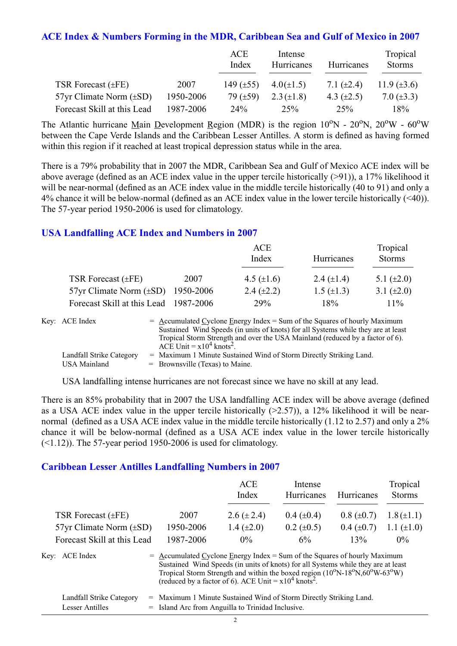#### **ACE Index & Numbers Forming in the MDR, Caribbean Sea and Gulf of Mexico in 2007**

|                                |           | ACE<br>Index   | Intense<br>Hurricanes | Hurricanes      | Tropical<br><b>Storms</b> |
|--------------------------------|-----------|----------------|-----------------------|-----------------|---------------------------|
| TSR Forecast $(\pm FE)$        | 2007      | 149 $(\pm 55)$ | $4.0(\pm 1.5)$        | 7.1 $(\pm 2.4)$ | 11.9 $(\pm 3.6)$          |
| $57yr$ Climate Norm $(\pm SD)$ | 1950-2006 | 79 $(\pm 59)$  | $2.3 (\pm 1.8)$       | 4.3 $(\pm 2.5)$ | 7.0 $(\pm 3.3)$           |
| Forecast Skill at this Lead    | 1987-2006 | $24\%$         | 25%                   | 25%             | 18%                       |

The Atlantic hurricane Main Development Region (MDR) is the region  $10^{\circ}$ N -  $20^{\circ}$ N,  $20^{\circ}$ W -  $60^{\circ}$ W between the Cape Verde Islands and the Caribbean Lesser Antilles. A storm is defined as having formed within this region if it reached at least tropical depression status while in the area.

There is a 79% probability that in 2007 the MDR, Caribbean Sea and Gulf of Mexico ACE index will be above average (defined as an ACE index value in the upper tercile historically (>91)), a 17% likelihood it will be near-normal (defined as an ACE index value in the middle tercile historically (40 to 91) and only a 4% chance it will be below-normal (defined as an ACE index value in the lower tercile historically (<40)). The 57-year period 1950-2006 is used for climatology.

### **USA Landfalling ACE Index and Numbers in 2007**

|                                        |      | ACE<br>Index      | Hurricanes      | Tropical<br><b>Storms</b> |  |
|----------------------------------------|------|-------------------|-----------------|---------------------------|--|
| TSR Forecast $(\pm FE)$                | 2007 | 4.5 $(\pm 1.6)$   | 2.4 $(\pm 1.4)$ | 5.1 $(\pm 2.0)$           |  |
| 57yr Climate Norm $(\pm SD)$ 1950-2006 |      | $2.4 \ (\pm 2.2)$ | 1.5 $(\pm 1.3)$ | 3.1 $(\pm 2.0)$           |  |
| Forecast Skill at this Lead 1987-2006  |      | 29%               | 18%             | $11\%$                    |  |

| Key: ACE Index           | $=$ Accumulated Cyclone Energy Index $=$ Sum of the Squares of hourly Maximum     |
|--------------------------|-----------------------------------------------------------------------------------|
|                          | Sustained Wind Speeds (in units of knots) for all Systems while they are at least |
|                          | Tropical Storm Strength and over the USA Mainland (reduced by a factor of 6).     |
|                          | ACE Unit = $x10^4$ knots <sup>2</sup> .                                           |
| Landfall Strike Category | = Maximum 1 Minute Sustained Wind of Storm Directly Striking Land.                |
| USA Mainland             | $=$ Brownsville (Texas) to Maine.                                                 |

USA landfalling intense hurricanes are not forecast since we have no skill at any lead.

There is an 85% probability that in 2007 the USA landfalling ACE index will be above average (defined as a USA ACE index value in the upper tercile historically  $(>2.57)$ ), a 12% likelihood it will be nearnormal (defined as a USA ACE index value in the middle tercile historically (1.12 to 2.57) and only a 2% chance it will be below-normal (defined as a USA ACE index value in the lower tercile historically  $(\leq 1.12)$ ). The 57-year period 1950-2006 is used for climatology.

#### **Caribbean Lesser Antilles Landfalling Numbers in 2007**

|                                |                                                                             | <b>ACE</b><br>Index                                                                                                                                                                                                                                                 | Intense<br>Hurricanes | Hurricanes      | Tropical<br><b>Storms</b> |
|--------------------------------|-----------------------------------------------------------------------------|---------------------------------------------------------------------------------------------------------------------------------------------------------------------------------------------------------------------------------------------------------------------|-----------------------|-----------------|---------------------------|
| TSR Forecast $(\pm FE)$        | 2007                                                                        | 2.6 $(\pm 2.4)$                                                                                                                                                                                                                                                     | $0.4~(\pm 0.4)$       | $0.8 (\pm 0.7)$ | $1.8(\pm 1.1)$            |
| $57yr$ Climate Norm $(\pm SD)$ | 1950-2006                                                                   | 1.4 $(\pm 2.0)$                                                                                                                                                                                                                                                     | $0.2 \ (\pm 0.5)$     | $0.4~(\pm 0.7)$ | 1.1 $(\pm 1.0)$           |
| Forecast Skill at this Lead    | 1987-2006                                                                   | $0\%$                                                                                                                                                                                                                                                               | 6%                    | 13%             | $0\%$                     |
| Key: ACE Index                 | $=$ Accumulated Cyclone Energy Index = Sum of the Squares of hourly Maximum | Sustained Wind Speeds (in units of knots) for all Systems while they are at least<br>Tropical Storm Strength and within the boxed region $(10^{\circ}N-18^{\circ}N,60^{\circ}W-63^{\circ}W)$<br>(reduced by a factor of 6). ACE Unit = $x10^4$ knots <sup>2</sup> . |                       |                 |                           |

| Landfall Strike Category | = Maximum 1 Minute Sustained Wind of Storm Directly Striking Land. |
|--------------------------|--------------------------------------------------------------------|
| Lesser Antilles          | = Island Arc from Anguilla to Trinidad Inclusive.                  |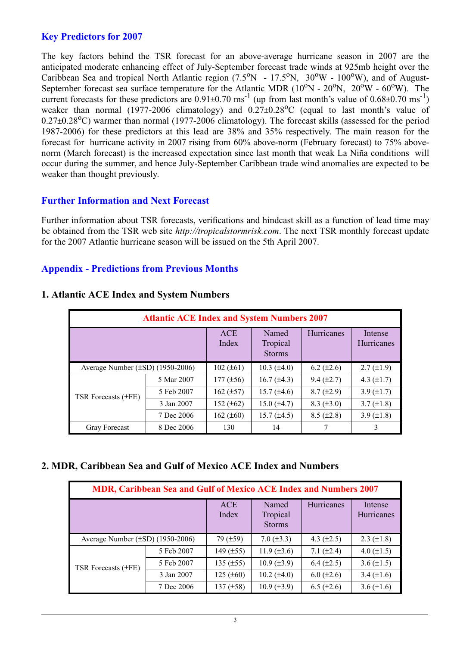## **Key Predictors for 2007**

The key factors behind the TSR forecast for an above-average hurricane season in 2007 are the anticipated moderate enhancing effect of July-September forecast trade winds at 925mb height over the Caribbean Sea and tropical North Atlantic region  $(7.5^{\circ}N - 17.5^{\circ}N, 30^{\circ}W - 100^{\circ}W)$ , and of August-September forecast sea surface temperature for the Atlantic MDR  $(10^{\circ}N - 20^{\circ}N, 20^{\circ}W - 60^{\circ}W)$ . The current forecasts for these predictors are  $0.91\pm0.70$  ms<sup>-1</sup> (up from last month's value of  $0.68\pm0.70$  ms<sup>-1</sup>) weaker than normal (1977-2006 climatology) and  $0.27\pm0.28$ °C (equal to last month's value of  $0.27\pm0.28$ <sup>o</sup>C) warmer than normal (1977-2006 climatology). The forecast skills (assessed for the period 1987-2006) for these predictors at this lead are 38% and 35% respectively. The main reason for the forecast for hurricane activity in 2007 rising from 60% above-norm (February forecast) to 75% abovenorm (March forecast) is the increased expectation since last month that weak La Niña conditions will occur during the summer, and hence July-September Caribbean trade wind anomalies are expected to be weaker than thought previously.

### **Further Information and Next Forecast**

Further information about TSR forecasts, verifications and hindcast skill as a function of lead time may be obtained from the TSR web site *http://tropicalstormrisk.com*. The next TSR monthly forecast update for the 2007 Atlantic hurricane season will be issued on the 5th April 2007.

### **Appendix - Predictions from Previous Months**

| <b>Atlantic ACE Index and System Numbers 2007</b> |            |                     |                                    |                 |                       |  |  |
|---------------------------------------------------|------------|---------------------|------------------------------------|-----------------|-----------------------|--|--|
|                                                   |            | <b>ACE</b><br>Index | Named<br>Tropical<br><b>Storms</b> | Hurricanes      | Intense<br>Hurricanes |  |  |
| Average Number $(\pm SD)$ (1950-2006)             |            | $102 (\pm 61)$      | $10.3 \ (\pm 4.0)$                 | $6.2 (\pm 2.6)$ | $2.7 (\pm 1.9)$       |  |  |
| TSR Forecasts (±FE)                               | 5 Mar 2007 | $177 (\pm 56)$      | 16.7 $(\pm 4.3)$                   | $9.4 (\pm 2.7)$ | 4.3 $(\pm 1.7)$       |  |  |
|                                                   | 5 Feb 2007 | 162 $(\pm 57)$      | 15.7 $(\pm 4.6)$                   | $8.7 (\pm 2.9)$ | 3.9 $(\pm 1.7)$       |  |  |
|                                                   | 3 Jan 2007 | 152 $(\pm 62)$      | 15.0 $(\pm 4.7)$                   | $8.3 (\pm 3.0)$ | $3.7 (\pm 1.8)$       |  |  |
|                                                   | 7 Dec 2006 | 162 $(\pm 60)$      | $15.7 (\pm 4.5)$                   | $8.5 (\pm 2.8)$ | 3.9 $(\pm 1.8)$       |  |  |
| <b>Gray Forecast</b>                              | 8 Dec 2006 | 130                 | 14                                 |                 | 3                     |  |  |

#### **1. Atlantic ACE Index and System Numbers**

#### **2. MDR, Caribbean Sea and Gulf of Mexico ACE Index and Numbers**

| MDR, Caribbean Sea and Gulf of Mexico ACE Index and Numbers 2007 |            |                     |                                    |                 |                       |  |  |
|------------------------------------------------------------------|------------|---------------------|------------------------------------|-----------------|-----------------------|--|--|
|                                                                  |            | <b>ACE</b><br>Index | Named<br>Tropical<br><b>Storms</b> | Hurricanes      | Intense<br>Hurricanes |  |  |
| Average Number $(\pm SD)$ (1950-2006)                            |            | 79(.159)            | $7.0 (\pm 3.3)$                    | 4.3 $(\pm 2.5)$ | $2.3 \ (\pm 1.8)$     |  |  |
|                                                                  | 5 Feb 2007 | 149 $(\pm 55)$      | 11.9 $(\pm 3.6)$                   | 7.1 $(\pm 2.4)$ | 4.0 $(\pm 1.5)$       |  |  |
| TSR Forecasts (±FE)                                              | 5 Feb 2007 | 135 $(\pm 55)$      | $10.9 \ (\pm 3.9)$                 | 6.4 $(\pm 2.5)$ | 3.6 $(\pm 1.5)$       |  |  |
|                                                                  | 3 Jan 2007 | $125 (\pm 60)$      | $10.2 (\pm 4.0)$                   | $6.0 (\pm 2.6)$ | 3.4 $(\pm 1.6)$       |  |  |
|                                                                  | 7 Dec 2006 | 137 $(\pm 58)$      | $10.9 \ (\pm 3.9)$                 | $6.5 (\pm 2.6)$ | 3.6 $(\pm 1.6)$       |  |  |